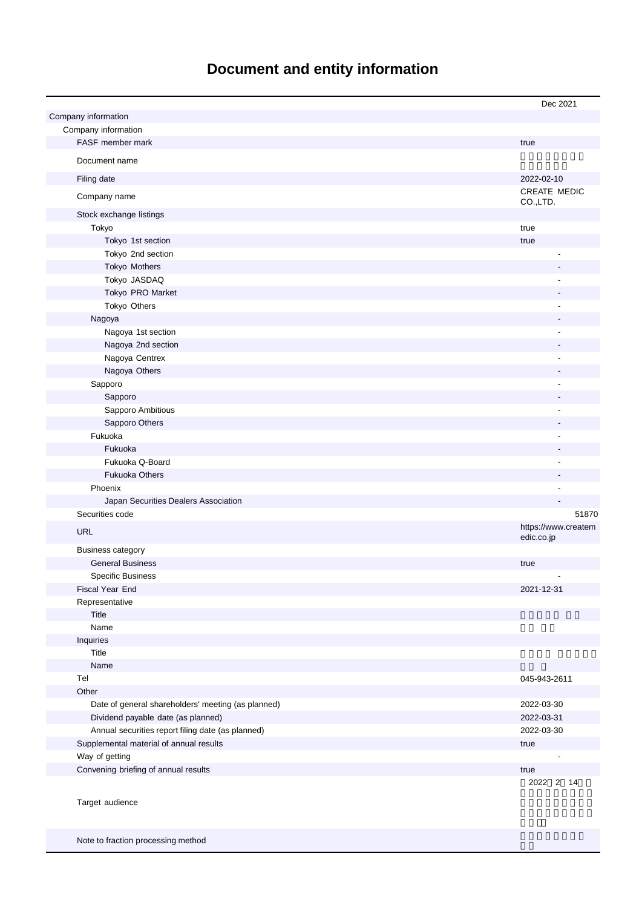# **Document and entity information**

|                                                    | Dec 2021                          |
|----------------------------------------------------|-----------------------------------|
| Company information                                |                                   |
| Company information                                |                                   |
| FASF member mark                                   | true                              |
| Document name                                      |                                   |
| Filing date                                        | 2022-02-10                        |
| Company name                                       | CREATE MEDIC<br>CO.,LTD.          |
| Stock exchange listings                            |                                   |
| Tokyo                                              | true                              |
| Tokyo 1st section                                  | true                              |
| Tokyo 2nd section                                  |                                   |
| Tokyo Mothers                                      |                                   |
| Tokyo JASDAQ                                       |                                   |
| Tokyo PRO Market                                   |                                   |
| Tokyo Others                                       |                                   |
| Nagoya                                             |                                   |
| Nagoya 1st section                                 |                                   |
| Nagoya 2nd section                                 |                                   |
| Nagoya Centrex                                     |                                   |
| Nagoya Others                                      |                                   |
| Sapporo                                            |                                   |
| Sapporo                                            |                                   |
| Sapporo Ambitious                                  |                                   |
| Sapporo Others                                     |                                   |
| Fukuoka                                            |                                   |
| Fukuoka                                            |                                   |
| Fukuoka Q-Board                                    |                                   |
| <b>Fukuoka Others</b>                              |                                   |
| Phoenix                                            |                                   |
| Japan Securities Dealers Association               |                                   |
| Securities code                                    | 51870                             |
| <b>URL</b>                                         | https://www.createm<br>edic.co.jp |
| <b>Business category</b>                           |                                   |
| <b>General Business</b>                            | true                              |
| <b>Specific Business</b>                           |                                   |
| Fiscal Year End                                    | 2021-12-31                        |
| Representative                                     |                                   |
| Title                                              |                                   |
| Name                                               |                                   |
| Inquiries                                          |                                   |
| Title                                              |                                   |
| Name                                               |                                   |
| Tel                                                | 045-943-2611                      |
| Other                                              |                                   |
| Date of general shareholders' meeting (as planned) | 2022-03-30                        |
| Dividend payable date (as planned)                 | 2022-03-31                        |
| Annual securities report filing date (as planned)  | 2022-03-30                        |
| Supplemental material of annual results            | true                              |
| Way of getting                                     |                                   |
| Convening briefing of annual results               | true                              |
|                                                    | 2022 2 14                         |
| Target audience                                    |                                   |
|                                                    |                                   |

Note to fraction processing method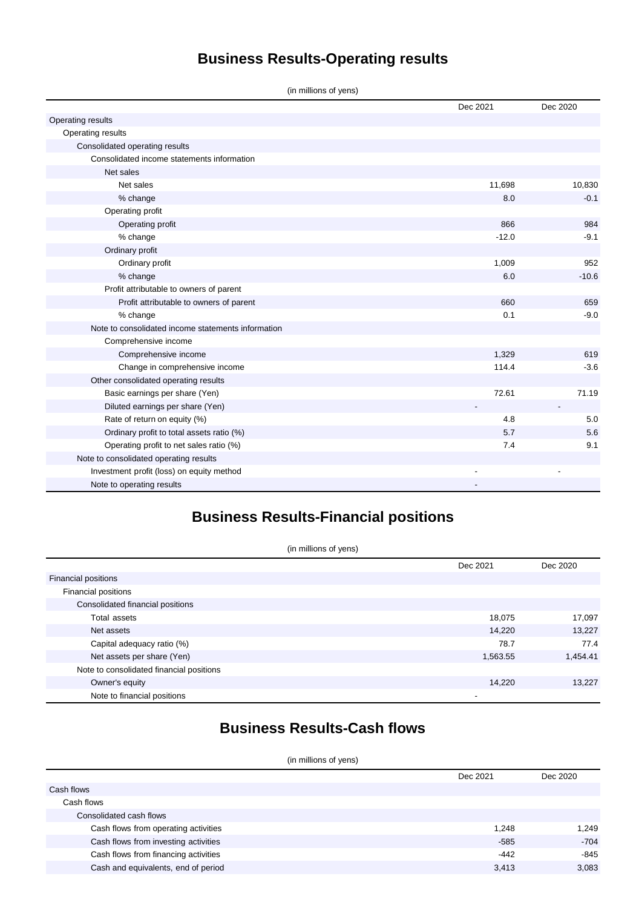## **Business Results-Operating results**

(in millions of yens)

|                                                    | Dec 2021 | Dec 2020 |
|----------------------------------------------------|----------|----------|
| Operating results                                  |          |          |
| Operating results                                  |          |          |
| Consolidated operating results                     |          |          |
| Consolidated income statements information         |          |          |
| Net sales                                          |          |          |
| Net sales                                          | 11,698   | 10,830   |
| % change                                           | 8.0      | $-0.1$   |
| Operating profit                                   |          |          |
| Operating profit                                   | 866      | 984      |
| % change                                           | $-12.0$  | $-9.1$   |
| Ordinary profit                                    |          |          |
| Ordinary profit                                    | 1,009    | 952      |
| % change                                           | 6.0      | $-10.6$  |
| Profit attributable to owners of parent            |          |          |
| Profit attributable to owners of parent            | 660      | 659      |
| % change                                           | 0.1      | $-9.0$   |
| Note to consolidated income statements information |          |          |
| Comprehensive income                               |          |          |
| Comprehensive income                               | 1,329    | 619      |
| Change in comprehensive income                     | 114.4    | $-3.6$   |
| Other consolidated operating results               |          |          |
| Basic earnings per share (Yen)                     | 72.61    | 71.19    |
| Diluted earnings per share (Yen)                   |          |          |
| Rate of return on equity (%)                       | 4.8      | 5.0      |
| Ordinary profit to total assets ratio (%)          | 5.7      | 5.6      |
| Operating profit to net sales ratio (%)            | 7.4      | 9.1      |
| Note to consolidated operating results             |          |          |
| Investment profit (loss) on equity method          |          |          |
| Note to operating results                          |          |          |

## **Business Results-Financial positions**

| (in millions of yens)                    |          |          |  |
|------------------------------------------|----------|----------|--|
|                                          | Dec 2021 | Dec 2020 |  |
| <b>Financial positions</b>               |          |          |  |
| Financial positions                      |          |          |  |
| Consolidated financial positions         |          |          |  |
| Total assets                             | 18,075   | 17,097   |  |
| Net assets                               | 14,220   | 13,227   |  |
| Capital adequacy ratio (%)               | 78.7     | 77.4     |  |
| Net assets per share (Yen)               | 1,563.55 | 1,454.41 |  |
| Note to consolidated financial positions |          |          |  |
| Owner's equity                           | 14,220   | 13,227   |  |
| Note to financial positions              | -        |          |  |

## **Business Results-Cash flows**

#### (in millions of yens)

|                                      | Dec 2021 | Dec 2020 |
|--------------------------------------|----------|----------|
| Cash flows                           |          |          |
| Cash flows                           |          |          |
| Consolidated cash flows              |          |          |
| Cash flows from operating activities | 1,248    | 1,249    |
| Cash flows from investing activities | $-585$   | $-704$   |
| Cash flows from financing activities | $-442$   | $-845$   |
| Cash and equivalents, end of period  | 3,413    | 3.083    |
|                                      |          |          |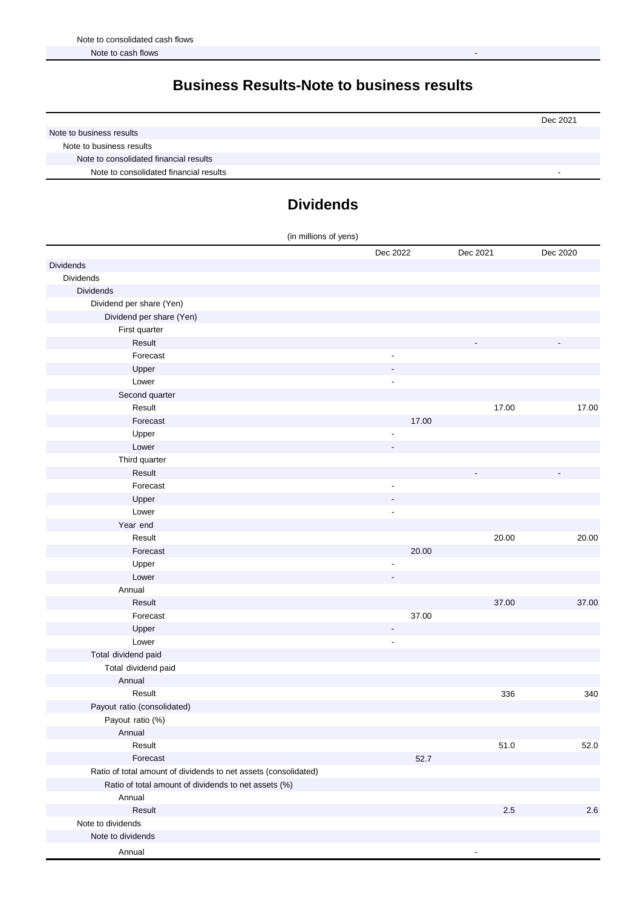#### **Business Results-Note to business results**

|                                        | Dec 2021 |
|----------------------------------------|----------|
| Note to business results               |          |
| Note to business results               |          |
| Note to consolidated financial results |          |
| Note to consolidated financial results |          |

### **Dividends**

| (in millions of yens)                                           |                          |          |          |
|-----------------------------------------------------------------|--------------------------|----------|----------|
|                                                                 | Dec 2022                 | Dec 2021 | Dec 2020 |
| <b>Dividends</b>                                                |                          |          |          |
| Dividends                                                       |                          |          |          |
| <b>Dividends</b>                                                |                          |          |          |
| Dividend per share (Yen)                                        |                          |          |          |
| Dividend per share (Yen)                                        |                          |          |          |
| First quarter                                                   |                          |          |          |
| Result                                                          |                          |          |          |
| Forecast                                                        | ٠                        |          |          |
| Upper                                                           |                          |          |          |
| Lower                                                           | $\overline{\phantom{a}}$ |          |          |
| Second quarter                                                  |                          |          |          |
| Result                                                          |                          | 17.00    | 17.00    |
| Forecast                                                        | 17.00                    |          |          |
| Upper                                                           |                          |          |          |
| Lower                                                           |                          |          |          |
| Third quarter                                                   |                          |          |          |
| Result                                                          |                          |          |          |
| Forecast                                                        | $\overline{a}$           |          |          |
| Upper                                                           |                          |          |          |
| Lower                                                           | $\overline{a}$           |          |          |
| Year end                                                        |                          |          |          |
| Result                                                          |                          | 20.00    | 20.00    |
| Forecast                                                        | 20.00                    |          |          |
| Upper                                                           |                          |          |          |
| Lower                                                           |                          |          |          |
| Annual                                                          |                          |          |          |
| Result                                                          |                          | 37.00    | 37.00    |
| Forecast                                                        | 37.00                    |          |          |
| Upper                                                           |                          |          |          |
| Lower                                                           | ÷,                       |          |          |
| Total dividend paid                                             |                          |          |          |
| Total dividend paid                                             |                          |          |          |
| Annual                                                          |                          |          |          |
| Result                                                          |                          | 336      | 340      |
| Payout ratio (consolidated)                                     |                          |          |          |
| Payout ratio (%)                                                |                          |          |          |
| Annual                                                          |                          |          |          |
| Result                                                          |                          | 51.0     | 52.0     |
| Forecast                                                        | 52.7                     |          |          |
| Ratio of total amount of dividends to net assets (consolidated) |                          |          |          |
| Ratio of total amount of dividends to net assets (%)            |                          |          |          |
| Annual                                                          |                          |          |          |
| Result                                                          |                          | $2.5\,$  | $2.6$    |
| Note to dividends                                               |                          |          |          |
| Note to dividends                                               |                          |          |          |
| Annual                                                          |                          |          |          |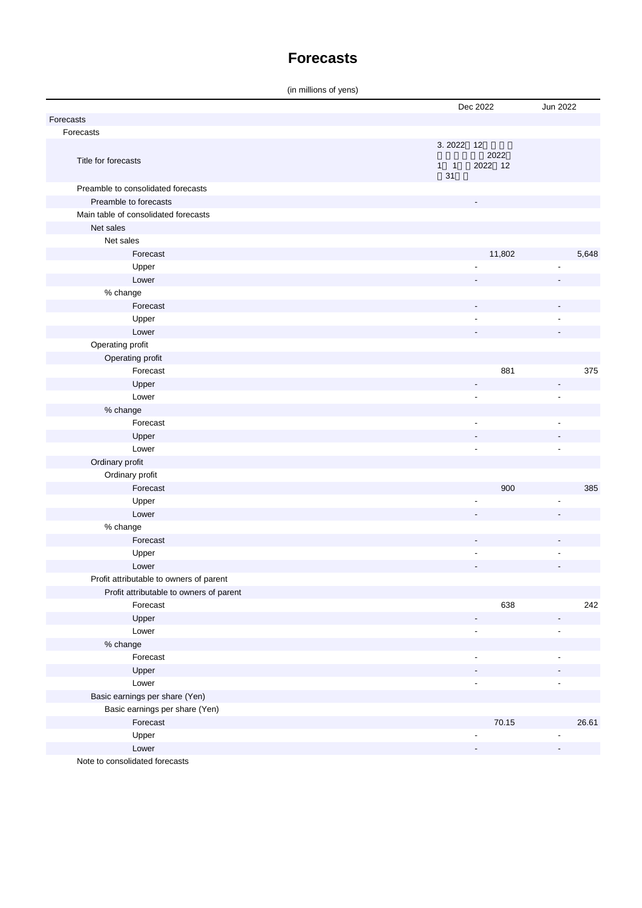#### **Forecasts**

(in millions of yens)

|                                         |             | Dec 2022                 | Jun 2022                 |       |
|-----------------------------------------|-------------|--------------------------|--------------------------|-------|
| Forecasts                               |             |                          |                          |       |
| Forecasts                               |             |                          |                          |       |
|                                         | 3.2022 12   |                          |                          |       |
| Title for forecasts                     | $1 \quad 1$ | 2022<br>2022 12          |                          |       |
|                                         | 31          |                          |                          |       |
| Preamble to consolidated forecasts      |             |                          |                          |       |
| Preamble to forecasts                   |             |                          |                          |       |
| Main table of consolidated forecasts    |             |                          |                          |       |
| Net sales                               |             |                          |                          |       |
| Net sales                               |             |                          |                          |       |
| Forecast                                |             | 11,802                   |                          | 5,648 |
| Upper                                   |             |                          |                          |       |
| Lower                                   |             |                          |                          |       |
| % change                                |             |                          |                          |       |
| Forecast                                |             |                          |                          |       |
| Upper                                   |             |                          |                          |       |
| Lower                                   |             |                          |                          |       |
| Operating profit                        |             |                          |                          |       |
| Operating profit                        |             |                          |                          |       |
| Forecast                                |             | 881                      |                          | 375   |
| Upper                                   |             | $\overline{a}$           | $\overline{\phantom{a}}$ |       |
| Lower                                   |             | $\overline{a}$           |                          |       |
| % change                                |             |                          |                          |       |
| Forecast                                |             | ٠                        |                          |       |
| Upper                                   |             |                          |                          |       |
| Lower                                   |             | ٠                        |                          |       |
| Ordinary profit                         |             |                          |                          |       |
| Ordinary profit                         |             |                          |                          |       |
| Forecast                                |             | 900                      |                          | 385   |
| Upper                                   |             |                          |                          |       |
| Lower                                   |             |                          |                          |       |
| % change                                |             |                          |                          |       |
| Forecast                                |             |                          |                          |       |
| Upper                                   |             | ٠                        |                          |       |
| Lower                                   |             |                          |                          |       |
| Profit attributable to owners of parent |             |                          |                          |       |
| Profit attributable to owners of parent |             |                          |                          |       |
| Forecast                                |             | 638                      |                          | 242   |
| Upper                                   |             |                          |                          |       |
| Lower                                   |             | ÷,                       | ÷,                       |       |
| % change                                |             |                          |                          |       |
| Forecast                                |             | $\overline{\phantom{a}}$ |                          |       |
| Upper                                   |             |                          |                          |       |
| Lower                                   |             | ٠                        |                          |       |
| Basic earnings per share (Yen)          |             |                          |                          |       |
| Basic earnings per share (Yen)          |             |                          |                          |       |
| Forecast                                |             | 70.15                    |                          | 26.61 |
| Upper                                   |             |                          |                          |       |
| Lower                                   |             |                          |                          |       |
|                                         |             |                          |                          |       |

Note to consolidated forecasts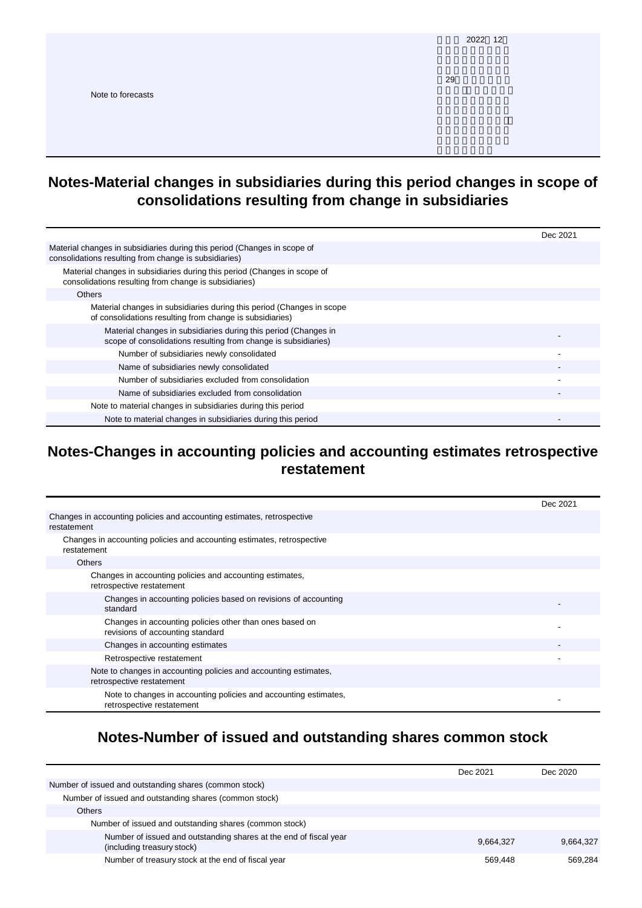|                   | 2022 12 |
|-------------------|---------|
|                   | 29      |
| Note to forecasts |         |
|                   |         |
|                   |         |

#### **Notes-Material changes in subsidiaries during this period changes in scope of consolidations resulting from change in subsidiaries**

|                                                                                                                                   | Dec 2021 |
|-----------------------------------------------------------------------------------------------------------------------------------|----------|
| Material changes in subsidiaries during this period (Changes in scope of<br>consolidations resulting from change is subsidiaries) |          |
| Material changes in subsidiaries during this period (Changes in scope of<br>consolidations resulting from change is subsidiaries) |          |
| <b>Others</b>                                                                                                                     |          |
| Material changes in subsidiaries during this period (Changes in scope<br>of consolidations resulting from change is subsidiaries) |          |
| Material changes in subsidiaries during this period (Changes in<br>scope of consolidations resulting from change is subsidiaries) |          |
| Number of subsidiaries newly consolidated                                                                                         |          |
| Name of subsidiaries newly consolidated                                                                                           |          |
| Number of subsidiaries excluded from consolidation                                                                                |          |
| Name of subsidiaries excluded from consolidation                                                                                  |          |
| Note to material changes in subsidiaries during this period                                                                       |          |
| Note to material changes in subsidiaries during this period                                                                       |          |

#### **Notes-Changes in accounting policies and accounting estimates retrospective restatement**

|                                                                                               | Dec 2021 |
|-----------------------------------------------------------------------------------------------|----------|
| Changes in accounting policies and accounting estimates, retrospective<br>restatement         |          |
| Changes in accounting policies and accounting estimates, retrospective<br>restatement         |          |
| <b>Others</b>                                                                                 |          |
| Changes in accounting policies and accounting estimates,<br>retrospective restatement         |          |
| Changes in accounting policies based on revisions of accounting<br>standard                   |          |
| Changes in accounting policies other than ones based on<br>revisions of accounting standard   |          |
| Changes in accounting estimates                                                               |          |
| Retrospective restatement                                                                     |          |
| Note to changes in accounting policies and accounting estimates,<br>retrospective restatement |          |
| Note to changes in accounting policies and accounting estimates,<br>retrospective restatement |          |

## **Notes-Number of issued and outstanding shares common stock**

|                                                                                                 | Dec 2021  | Dec 2020  |
|-------------------------------------------------------------------------------------------------|-----------|-----------|
| Number of issued and outstanding shares (common stock)                                          |           |           |
| Number of issued and outstanding shares (common stock)                                          |           |           |
| <b>Others</b>                                                                                   |           |           |
| Number of issued and outstanding shares (common stock)                                          |           |           |
| Number of issued and outstanding shares at the end of fiscal year<br>(including treasury stock) | 9,664,327 | 9,664,327 |
| Number of treasury stock at the end of fiscal year                                              | 569.448   | 569.284   |